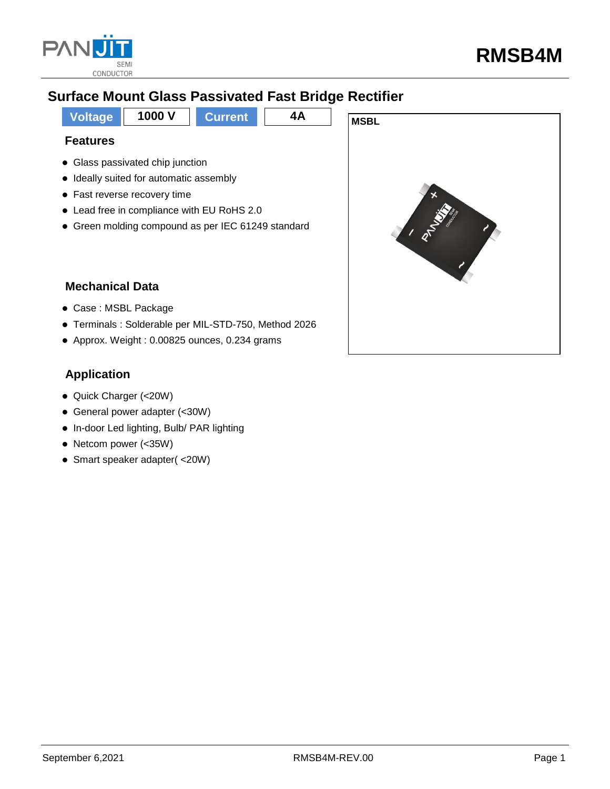

# **Surface Mount Glass Passivated Fast Bridge Rectifier**

**Voltage** 1000 V Current 4A MSBL **Features**

- Glass passivated chip junction
- Ideally suited for automatic assembly
- Fast reverse recovery time
- Lead free in compliance with EU RoHS 2.0
- Green molding compound as per IEC 61249 standard

## **Mechanical Data**

- Case : MSBL Package
- Terminals : Solderable per MIL-STD-750, Method 2026
- Approx. Weight : 0.00825 ounces, 0.234 grams

## **Application**

- Quick Charger (<20W)
- General power adapter (<30W)
- In-door Led lighting, Bulb/ PAR lighting
- Netcom power (<35W)
- Smart speaker adapter( <20W)

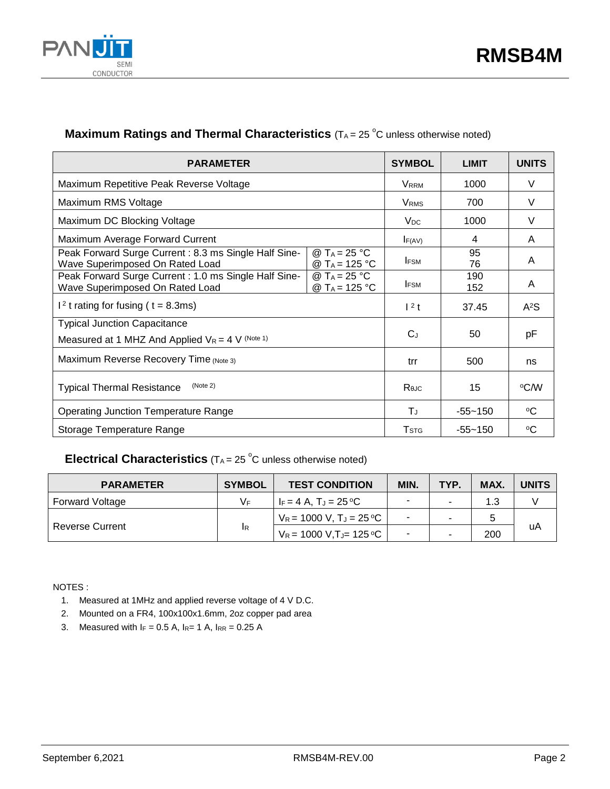

## **Maximum Ratings and Thermal Characteristics** (TA = 25 °C unless otherwise noted)

| <b>PARAMETER</b>                                                                                                                                 | <b>SYMBOL</b>           | <b>LIMIT</b> | <b>UNITS</b> |
|--------------------------------------------------------------------------------------------------------------------------------------------------|-------------------------|--------------|--------------|
| Maximum Repetitive Peak Reverse Voltage                                                                                                          | VRRM                    | 1000         | $\vee$       |
| Maximum RMS Voltage                                                                                                                              | <b>V</b> <sub>RMS</sub> | 700          | V            |
| Maximum DC Blocking Voltage                                                                                                                      | <b>V<sub>DC</sub></b>   | 1000         | V            |
| Maximum Average Forward Current                                                                                                                  | F(AV)                   | 4            | A            |
| Peak Forward Surge Current: 8.3 ms Single Half Sine-<br>$@T_A = 25 °C$<br>Wave Superimposed On Rated Load<br>@ T <sub>A</sub> = 125 °C           | <b>IFSM</b>             | 95<br>76     | A            |
| @ T <sub>A</sub> = 25 °C<br>Peak Forward Surge Current: 1.0 ms Single Half Sine-<br>Wave Superimposed On Rated Load<br>@ T <sub>A</sub> = 125 °C | <b>IFSM</b>             | 190<br>152   | A            |
| $12$ t rating for fusing ( t = 8.3ms)                                                                                                            | $1^2$ t                 | 37.45        | $A^2S$       |
| <b>Typical Junction Capacitance</b><br>Measured at 1 MHZ And Applied $V_R = 4$ V (Note 1)                                                        | $C_{J}$                 | 50           | рF           |
| Maximum Reverse Recovery Time (Note 3)                                                                                                           | trr                     | 500          | ns           |
| (Note 2)<br><b>Typical Thermal Resistance</b>                                                                                                    | $R_{\theta$ JC          | 15           | °C⁄W         |
| <b>Operating Junction Temperature Range</b>                                                                                                      | ТJ                      | $-55 - 150$  | $\rm ^{o}C$  |
| Storage Temperature Range                                                                                                                        | <b>T</b> <sub>STG</sub> | $-55 - 150$  | ∘C           |

## **Electrical Characteristics** (T<sub>A</sub> = 25 °C unless otherwise noted)

| <b>PARAMETER</b>       | <b>SYMBOL</b> | <b>TEST CONDITION</b>                  | MIN.                     | TYP. | MAX. | <b>UNITS</b> |  |
|------------------------|---------------|----------------------------------------|--------------------------|------|------|--------------|--|
| <b>Forward Voltage</b> | V⊧            | $F = 4 A. T_J = 25°C$                  | $\overline{\phantom{0}}$ |      |      |              |  |
| <b>Reverse Current</b> | <b>IR</b>     | $V_R$ = 1000 V, T <sub>J</sub> = 25 °C | $\sim$                   |      |      |              |  |
|                        |               | $V_R$ = 1000 V, T J = 125 °C           | $\blacksquare$           |      | 200  | uA           |  |

NOTES :

- 1. Measured at 1MHz and applied reverse voltage of 4 V D.C.
- 2. Mounted on a FR4, 100x100x1.6mm, 2oz copper pad area
- 3. Measured with  $I_F = 0.5 A$ ,  $I_{R} = 1 A$ ,  $I_{RR} = 0.25 A$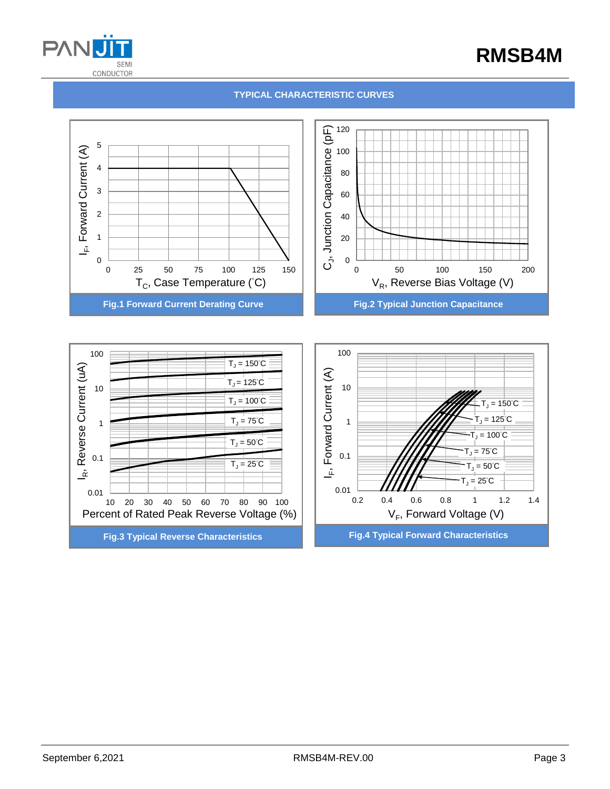

# **RMSB4M**

#### **TYPICAL CHARACTERISTIC CURVES**



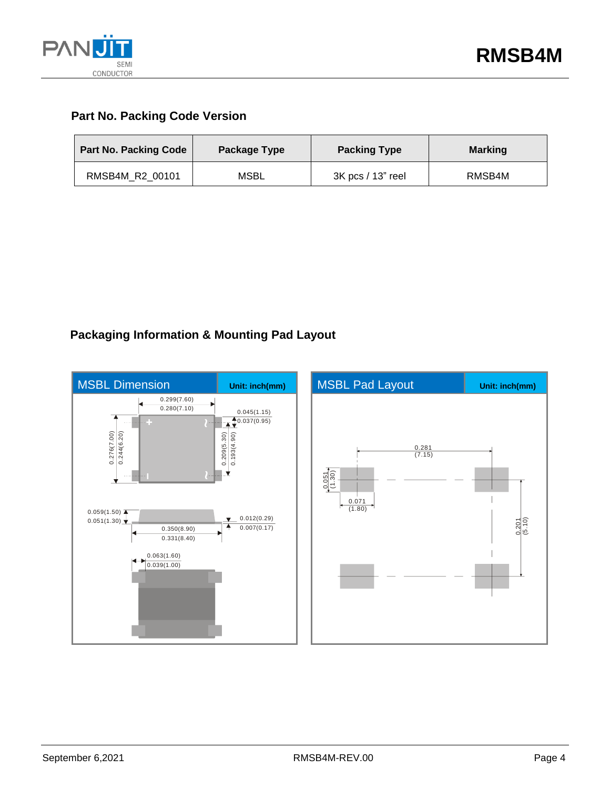

## **Part No. Packing Code Version**

| <b>Part No. Packing Code</b> | Package Type | <b>Packing Type</b> | <b>Marking</b> |
|------------------------------|--------------|---------------------|----------------|
| RMSB4M R2 00101              | <b>MSBL</b>  | 3K pcs / 13" reel   | RMSB4M         |

## **Packaging Information & Mounting Pad Layout**